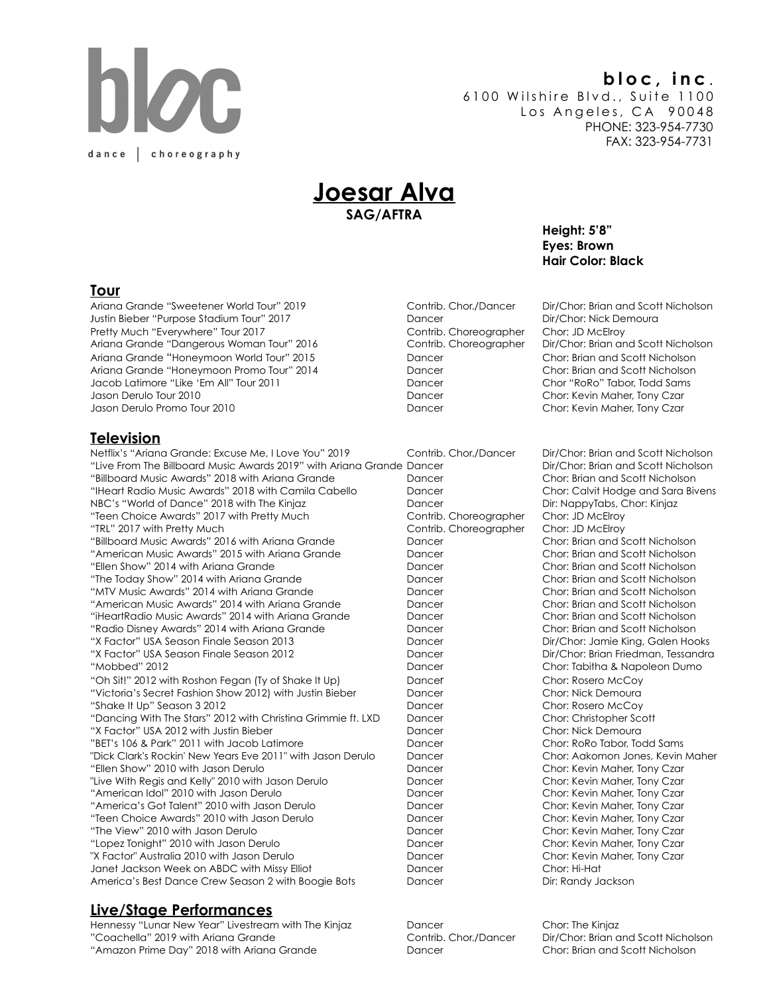# dance | choreography

# **bloc, inc** .

6100 Wilshire Blvd., Suite 1100 Los Angeles, CA 90048 PHONE: 323-954-7730 FAX: 323-954-7731

# **Joesar Alva SAG/AFTRA**

 **Height: 5'8" Eyes: Brown Hair Color: Black** 

#### **Tour**

Ariana Grande "Sweetener World Tour" 2019 Contrib. Chor./Dancer Dir/Chor: Brian and Scott Nicholson Justin Bieber "Purpose Stadium Tour" 2017 **Dancer** Dancer Pretty Much "Everywhere" Tour 2017 Contrib. Choreographer Chor: JD McElroy Ariana Grande "Dangerous Woman Tour" 2016 Contrib. Choreographer Dir/Chor: Brian and Scott Nicholson Ariana Grande "Honeymoon World Tour" 2015 Dancer Chor: Brian and Scott Nicholson Ariana Grande "Honeymoon Promo Tour" 2014 Dancer Chor: Brian and Scott Nicholson Jacob Latimore "Like 'Em All" Tour 2011 **Dancer** Changer Chor Pancer Jason Derulo Tour 2010 Dancer Chor: Kevin Maher, Tony Czar Jason Derulo Promo Tour 2010 Dancer Chor: Kevin Maher, Tony Czar

## **Television**

Netflix's "Ariana Grande: Excuse Me, I Love You" 2019 Contrib. Chor./Dancer Dir/Chor: Brian and Scott Nicholson "Live From The Billboard Music Awards 2019" with Ariana Grande Dancer Dirleh Dir/Chor: Brian and Scott Nicholson "Billboard Music Awards" 2018 with Ariana Grande Dancer Chor: Brian and Scott Nicholson "IHeart Radio Music Awards" 2018 with Camila Cabello Dancer Chor: Calvit Hodge and Sara Bivens NBC's "World of Dance" 2018 with The Kinjaz Dancer Dir: NappyTabs, Chor: Kinjaz "Teen Choice Awards" 2017 with Pretty Much Contrib. Choreographer Chor: JD McElroy "TRL" 2017 with Pretty Much Contrib. Choreographer Chor: JD McElroy "Billboard Music Awards" 2016 with Ariana Grande Dancer Chor: Brian and Scott Nicholson "American Music Awards" 2015 with Ariana Grande Dancer Chor: Brian and Scott Nicholson "Ellen Show" 2014 with Ariana Grande Dancer Chor: Brian and Scott Nicholson "The Today Show" 2014 with Ariana Grande Dancer Chor: Brian and Scott Nicholson "MTV Music Awards" 2014 with Ariana Grande Dancer Chor: Brian and Scott Nicholson "American Music Awards" 2014 with Ariana Grande Dancer Chor: Brian and Scott Nicholson "iHeartRadio Music Awards" 2014 with Ariana Grande Dancer Chor: Brian and Scott Nicholson "Radio Disney Awards" 2014 with Ariana Grande Dancer Chor: Brian and Scott Nicholson "X Factor" USA Season Finale Season 2013 Dancer Dir/Chor: Jamie King, Galen Hooks "X Factor" USA Season Finale Season 2012 Dancer Dir/Chor: Brian Friedman, Tessandra "Mobbed" 2012 Dancer Chor: Tabitha & Napoleon Dumo "Oh Sit!" 2012 with Roshon Fegan (Ty of Shake It Up) Dancer Chor: Rosero McCoy "Victoria's Secret Fashion Show 2012) with Justin Bieber Dancer Chor: Nick Demoura "Shake It Up" Season 3 2012 Dancer Chor: Rosero McCoy "Dancing With The Stars" 2012 with Christina Grimmie ft. LXD Dancer Chor: Christopher Scott "X Factor" USA 2012 with Justin Bieber National Chor: Nick Demoura "BET's 106 & Park" 2011 with Jacob Latimore Dancer Chor: RoRo Tabor, Todd Sams "Dick Clark's Rockin' New Years Eve 2011" with Jason Derulo Dancer Chor: Aakomon Jones, Kevin Maher "Ellen Show" 2010 with Jason Derulo Dancer Chor: Kevin Maher, Tony Czar "Live With Regis and Kelly" 2010 with Jason Derulo Dancer Dancer Chor: Kevin Maher, Tony Czar "American Idol" 2010 with Jason Derulo Dancer Chor: Kevin Maher, Tony Czar "America's Got Talent" 2010 with Jason Derulo Dancer Chor: Kevin Maher, Tony Czar "Teen Choice Awards" 2010 with Jason Derulo Dancer Chor: Kevin Maher, Tony Czar "The View" 2010 with Jason Derulo Dancer Chor: Kevin Maher, Tony Czar "Lopez Tonight" 2010 with Jason Derulo Dancer Chor: Kevin Maher, Tony Czar "X Factor" Australia 2010 with Jason Derulo Dancer Chor: Kevin Maher, Tony Czar Janet Jackson Week on ABDC with Missy Elliot Dancer Chor: Hi-Hat America's Best Dance Crew Season 2 with Boogie Bots Dancer Dir: Randy Jackson

## **Live/Stage Performances**

Hennessy "Lunar New Year" Livestream with The Kinjaz **Dancer** Dancer Chor: The Kinjaz "Coachella" 2019 with Ariana Grande Contrib. Chor./Dancer Dir/Chor: Brian and Scott Nicholson "Amazon Prime Day" 2018 with Ariana Grande Dancer Chor: Brian and Scott Nicholson